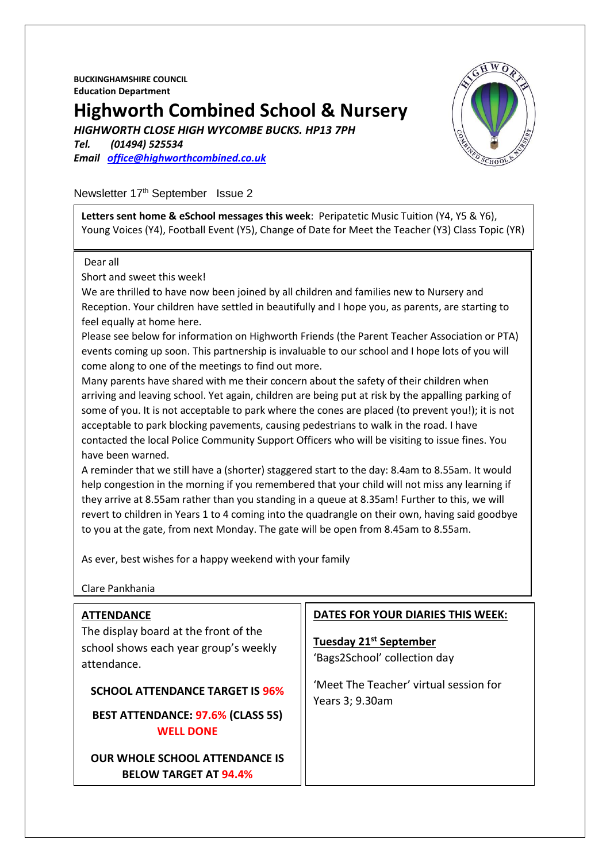**BUCKINGHAMSHIRE COUNCIL Education Department**

## **Highworth Combined School & Nursery**

*HIGHWORTH CLOSE HIGH WYCOMBE BUCKS. HP13 7PH*

*Tel. (01494) 525534 Email [office@highworthcombined.co.uk](mailto:office@highworthcombined.co.uk)*



#### Newsletter 17<sup>th</sup> September Issue 2

**Letters sent home & eSchool messages this week**: Peripatetic Music Tuition (Y4, Y5 & Y6), Young Voices (Y4), Football Event (Y5), Change of Date for Meet the Teacher (Y3) Class Topic (YR)

#### Dear all

Short and sweet this week!

We are thrilled to have now been joined by all children and families new to Nursery and Reception. Your children have settled in beautifully and I hope you, as parents, are starting to feel equally at home here.

Please see below for information on Highworth Friends (the Parent Teacher Association or PTA) events coming up soon. This partnership is invaluable to our school and I hope lots of you will come along to one of the meetings to find out more.

Many parents have shared with me their concern about the safety of their children when arriving and leaving school. Yet again, children are being put at risk by the appalling parking of some of you. It is not acceptable to park where the cones are placed (to prevent you!); it is not acceptable to park blocking pavements, causing pedestrians to walk in the road. I have contacted the local Police Community Support Officers who will be visiting to issue fines. You have been warned.

A reminder that we still have a (shorter) staggered start to the day: 8.4am to 8.55am. It would help congestion in the morning if you remembered that your child will not miss any learning if they arrive at 8.55am rather than you standing in a queue at 8.35am! Further to this, we will revert to children in Years 1 to 4 coming into the quadrangle on their own, having said goodbye to you at the gate, from next Monday. The gate will be open from 8.45am to 8.55am.

As ever, best wishes for a happy weekend with your family

Clare Pankhania

| <b>ATTENDANCE</b><br>The display board at the front of the<br>school shows each year group's weekly<br>attendance. | DATES FOR YOUR DIARIES THIS WEEK:<br>Tuesday 21 <sup>st</sup> September<br>'Bags2School' collection day |
|--------------------------------------------------------------------------------------------------------------------|---------------------------------------------------------------------------------------------------------|
| <b>SCHOOL ATTENDANCE TARGET IS 96%</b><br><b>BEST ATTENDANCE: 97.6% (CLASS 5S)</b><br><b>WELL DONE</b>             | 'Meet The Teacher' virtual session for<br>Years 3; 9.30am                                               |
| <b>OUR WHOLE SCHOOL ATTENDANCE IS</b><br><b>BELOW TARGET AT 94.4%</b>                                              |                                                                                                         |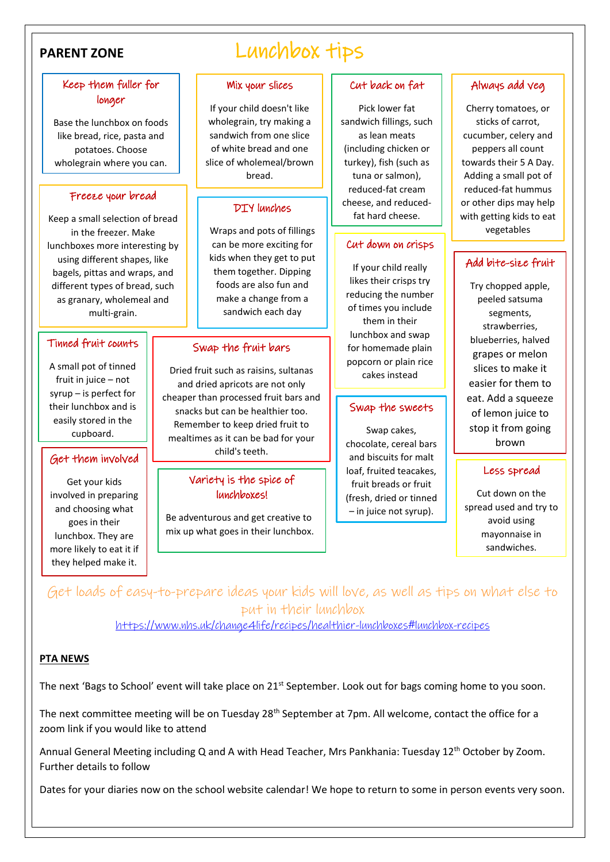İ

### Keep them fuller for longer

Base the lunchbox on foods like bread, rice, pasta and potatoes. Choose wholegrain where you can.

#### j Freeze your bread

Keep a small selection of bread in the freezer. Make lunchboxes more interesting by using different shapes, like bagels, pittas and wraps, and different types of bread, such as granary, wholemeal and multi-grain.

#### Tinned fruit counts

A small pot of tinned fruit in juice – not syrup – is perfect for their lunchbox and is easily stored in the cupboard.

#### Get them involved

Get your kids involved in preparing and choosing what goes in their lunchbox. They are more likely to eat it if they helped make it.

## PARENT ZONE LUNCHBOX tips

#### Mix your slices

If your child doesn't like wholegrain, try making a sandwich from one slice of white bread and one slice of wholemeal/brown bread.

#### DIY lunches

Wraps and pots of fillings can be more exciting for kids when they get to put them together. Dipping foods are also fun and make a change from a sandwich each day

#### Swap the fruit bars

Dried fruit such as raisins, sultanas and dried apricots are not only cheaper than processed fruit bars and snacks but can be healthier too. Remember to keep dried fruit to mealtimes as it can be bad for your child's teeth.

#### Variety is the spice of lunchboxes!

Be adventurous and get creative to mix up what goes in their lunchbox.

#### Cut back on fat

Pick lower fat sandwich fillings, such as lean meats (including chicken or turkey), fish (such as tuna or salmon), reduced-fat cream cheese, and reducedfat hard cheese.

#### Cut down on crisps

If your child really likes their crisps try reducing the number of times you include them in their lunchbox and swap for homemade plain popcorn or plain rice cakes instead

#### Swap the sweets

Swap cakes, chocolate, cereal bars and biscuits for malt loaf, fruited teacakes, fruit breads or fruit (fresh, dried or tinned – in juice not syrup).

#### Always add veg

Cherry tomatoes, or sticks of carrot, cucumber, celery and peppers all count towards their 5 A Day. Adding a small pot of reduced-fat hummus or other dips may help with getting kids to eat vegetables

#### Add bite-size fruit

Try chopped apple, peeled satsuma segments, strawberries, blueberries, halved grapes or melon slices to make it easier for them to eat. Add a squeeze of lemon juice to stop it from going brown

#### Less spread

Cut down on the spread used and try to avoid using mayonnaise in sandwiches.

Get loads of easy-to-prepare ideas your kids will love, as well as tips on what else to put in their lunchbox

<https://www.nhs.uk/change4life/recipes/healthier-lunchboxes#lunchbox-recipes>

#### **PTA NEWS**

The next 'Bags to School' event will take place on 21<sup>st</sup> September. Look out for bags coming home to you soon.

The next committee meeting will be on Tuesday 28<sup>th</sup> September at 7pm. All welcome, contact the office for a zoom link if you would like to attend

Annual General Meeting including Q and A with Head Teacher, Mrs Pankhania: Tuesday 12<sup>th</sup> October by Zoom. Further details to follow

Dates for your diaries now on the school website calendar! We hope to return to some in person events very soon.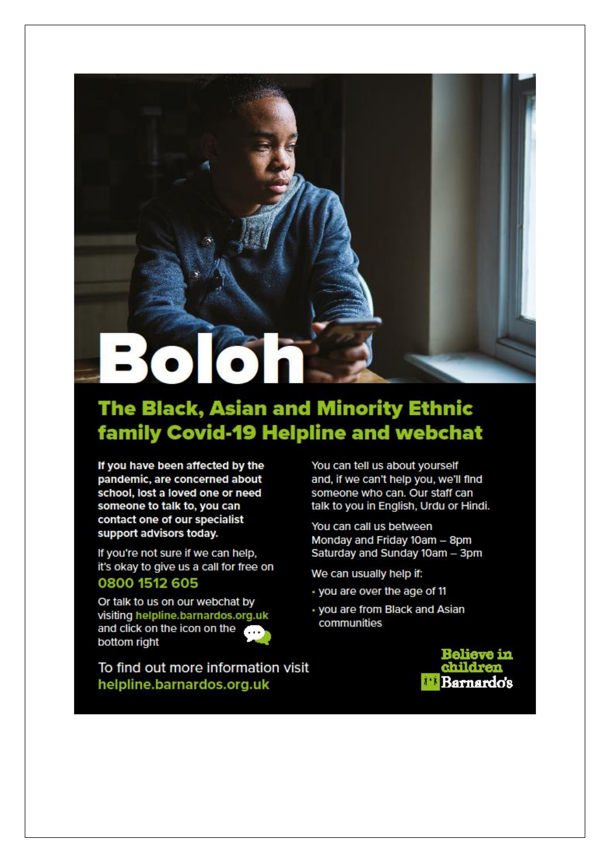# 3066

## **The Black, Asian and Minority Ethnic family Covid-19 Helpline and webchat**

If you have been affected by the pandemic, are concerned about school, lost a loved one or need someone to talk to, you can contact one of our specialist support advisors today.

If you're not sure if we can help, it's okay to give us a call for free on 0800 1512 605

Or talk to us on our webchat by visiting helpline.barnardos.org.uk and click on the icon on the bottom right



To find out more information visit helpline.barnardos.org.uk

You can tell us about vourself and, if we can't help you, we'll find someone who can. Our staff can talk to you in English, Urdu or Hindi.

You can call us between Monday and Friday 10am - 8pm Saturday and Sunday 10am - 3pm

We can usually help if:

- · you are over the age of 11
- · you are from Black and Asian communities